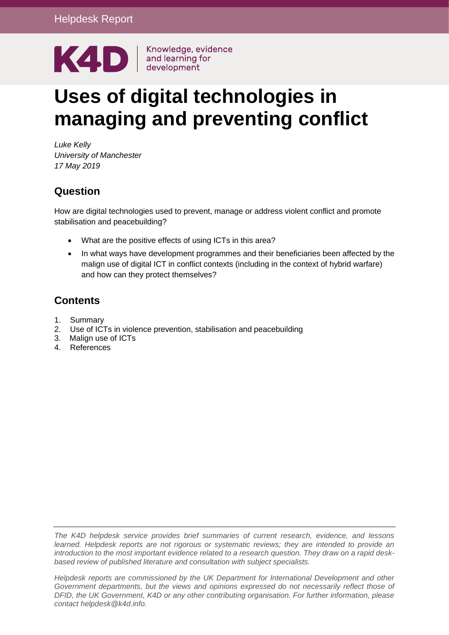

# **Uses of digital technologies in managing and preventing conflict**

*Luke Kelly University of Manchester 17 May 2019*

### **Question**

How are digital technologies used to prevent, manage or address violent conflict and promote stabilisation and peacebuilding?

- What are the positive effects of using ICTs in this area?
- In what ways have development programmes and their beneficiaries been affected by the malign use of digital ICT in conflict contexts (including in the context of hybrid warfare) and how can they protect themselves?

## **Contents**

- 1. [Summary](#page-1-0)
- 2. [Use of ICTs in violence prevention, stabilisation and peacebuilding](#page-2-0)
- 3. Malign use of ICTs
- 4. [References](#page-10-0)

*The K4D helpdesk service provides brief summaries of current research, evidence, and lessons learned. Helpdesk reports are not rigorous or systematic reviews; they are intended to provide an introduction to the most important evidence related to a research question. They draw on a rapid deskbased review of published literature and consultation with subject specialists.* 

*Helpdesk reports are commissioned by the UK Department for International Development and other Government departments, but the views and opinions expressed do not necessarily reflect those of DFID, the UK Government, K4D or any other contributing organisation. For further information, please contact helpdesk@k4d.info.*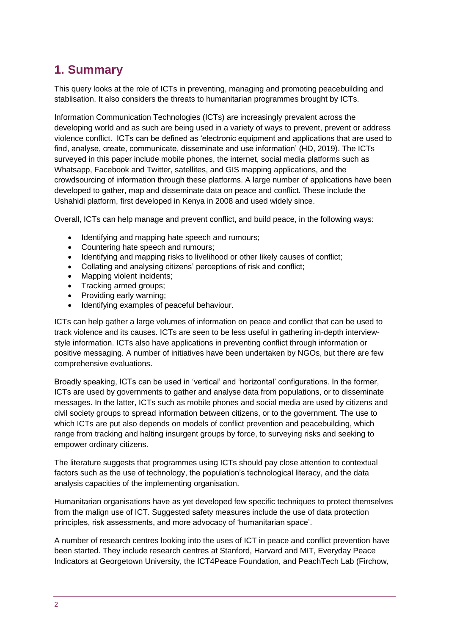# <span id="page-1-0"></span>**1. Summary**

This query looks at the role of ICTs in preventing, managing and promoting peacebuilding and stablisation. It also considers the threats to humanitarian programmes brought by ICTs.

Information Communication Technologies (ICTs) are increasingly prevalent across the developing world and as such are being used in a variety of ways to prevent, prevent or address violence conflict. ICTs can be defined as 'electronic equipment and applications that are used to find, analyse, create, communicate, disseminate and use information' (HD, 2019). The ICTs surveyed in this paper include mobile phones, the internet, social media platforms such as Whatsapp, Facebook and Twitter, satellites, and GIS mapping applications, and the crowdsourcing of information through these platforms. A large number of applications have been developed to gather, map and disseminate data on peace and conflict. These include the Ushahidi platform, first developed in Kenya in 2008 and used widely since.

Overall, ICTs can help manage and prevent conflict, and build peace, in the following ways:

- Identifying and mapping hate speech and rumours;
- Countering hate speech and rumours;
- Identifying and mapping risks to livelihood or other likely causes of conflict;
- Collating and analysing citizens' perceptions of risk and conflict;
- Mapping violent incidents;
- Tracking armed groups:
- Providing early warning;
- Identifying examples of peaceful behaviour.

ICTs can help gather a large volumes of information on peace and conflict that can be used to track violence and its causes. ICTs are seen to be less useful in gathering in-depth interviewstyle information. ICTs also have applications in preventing conflict through information or positive messaging. A number of initiatives have been undertaken by NGOs, but there are few comprehensive evaluations.

Broadly speaking, ICTs can be used in 'vertical' and 'horizontal' configurations. In the former, ICTs are used by governments to gather and analyse data from populations, or to disseminate messages. In the latter, ICTs such as mobile phones and social media are used by citizens and civil society groups to spread information between citizens, or to the government. The use to which ICTs are put also depends on models of conflict prevention and peacebuilding, which range from tracking and halting insurgent groups by force, to surveying risks and seeking to empower ordinary citizens.

The literature suggests that programmes using ICTs should pay close attention to contextual factors such as the use of technology, the population's technological literacy, and the data analysis capacities of the implementing organisation.

Humanitarian organisations have as yet developed few specific techniques to protect themselves from the malign use of ICT. Suggested safety measures include the use of data protection principles, risk assessments, and more advocacy of 'humanitarian space'.

A number of research centres looking into the uses of ICT in peace and conflict prevention have been started. They include research centres at Stanford, Harvard and MIT, Everyday Peace Indicators at Georgetown University, the ICT4Peace Foundation, and PeachTech Lab (Firchow,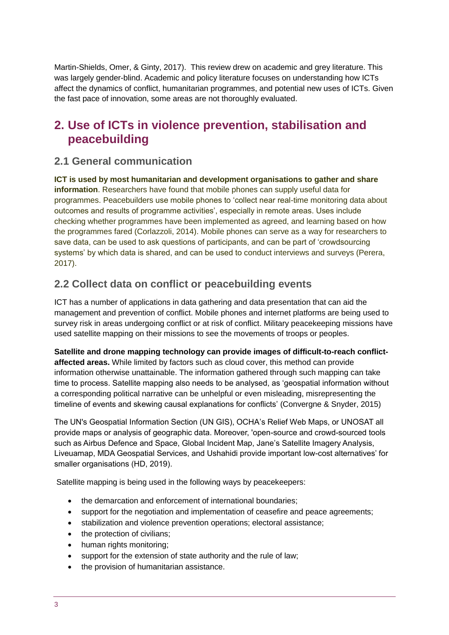Martin-Shields, Omer, & Ginty, 2017). This review drew on academic and grey literature. This was largely gender-blind. Academic and policy literature focuses on understanding how ICTs affect the dynamics of conflict, humanitarian programmes, and potential new uses of ICTs. Given the fast pace of innovation, some areas are not thoroughly evaluated.

# <span id="page-2-0"></span>**2. Use of ICTs in violence prevention, stabilisation and peacebuilding**

#### **2.1 General communication**

**ICT is used by most humanitarian and development organisations to gather and share information**. Researchers have found that mobile phones can supply useful data for programmes. Peacebuilders use mobile phones to 'collect near real-time monitoring data about outcomes and results of programme activities', especially in remote areas. Uses include checking whether programmes have been implemented as agreed, and learning based on how the programmes fared (Corlazzoli, 2014). Mobile phones can serve as a way for researchers to save data, can be used to ask questions of participants, and can be part of 'crowdsourcing systems' by which data is shared, and can be used to conduct interviews and surveys (Perera, 2017).

### **2.2 Collect data on conflict or peacebuilding events**

ICT has a number of applications in data gathering and data presentation that can aid the management and prevention of conflict. Mobile phones and internet platforms are being used to survey risk in areas undergoing conflict or at risk of conflict. Military peacekeeping missions have used satellite mapping on their missions to see the movements of troops or peoples.

**Satellite and drone mapping technology can provide images of difficult-to-reach conflictaffected areas.** While limited by factors such as cloud cover, this method can provide information otherwise unattainable. The information gathered through such mapping can take time to process. Satellite mapping also needs to be analysed, as 'geospatial information without a corresponding political narrative can be unhelpful or even misleading, misrepresenting the timeline of events and skewing causal explanations for conflicts' (Convergne & Snyder, 2015)

The UN's Geospatial Information Section (UN GIS), OCHA's Relief Web Maps, or UNOSAT all provide maps or analysis of geographic data. Moreover, 'open-source and crowd-sourced tools such as Airbus Defence and Space, Global Incident Map, Jane's Satellite Imagery Analysis, Liveuamap, MDA Geospatial Services, and Ushahidi provide important low-cost alternatives' for smaller organisations (HD, 2019).

Satellite mapping is being used in the following ways by peacekeepers:

- the demarcation and enforcement of international boundaries;
- support for the negotiation and implementation of ceasefire and peace agreements;
- stabilization and violence prevention operations; electoral assistance;
- the protection of civilians:
- human rights monitoring;
- support for the extension of state authority and the rule of law;
- the provision of humanitarian assistance.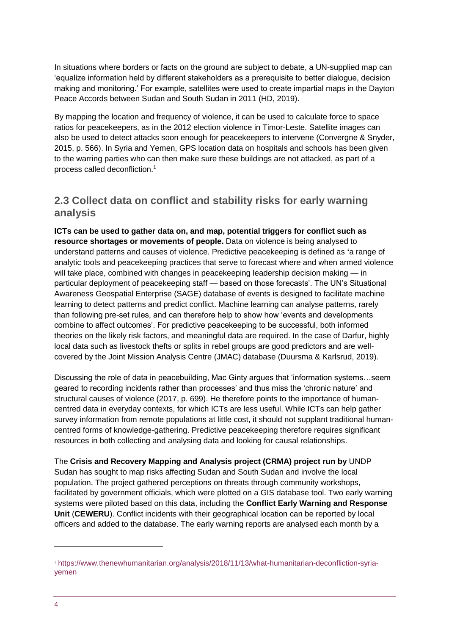In situations where borders or facts on the ground are subject to debate, a UN-supplied map can 'equalize information held by different stakeholders as a prerequisite to better dialogue, decision making and monitoring.' For example, satellites were used to create impartial maps in the Dayton Peace Accords between Sudan and South Sudan in 2011 (HD, 2019).

By mapping the location and frequency of violence, it can be used to calculate force to space ratios for peacekeepers, as in the 2012 election violence in Timor-Leste. Satellite images can also be used to detect attacks soon enough for peacekeepers to intervene (Convergne & Snyder, 2015, p. 566). In Syria and Yemen, GPS location data on hospitals and schools has been given to the warring parties who can then make sure these buildings are not attacked, as part of a process called deconfliction. 1

#### **2.3 Collect data on conflict and stability risks for early warning analysis**

**ICTs can be used to gather data on, and map, potential triggers for conflict such as resource shortages or movements of people.** Data on violence is being analysed to understand patterns and causes of violence. Predictive peacekeeping is defined as **'**a range of analytic tools and peacekeeping practices that serve to forecast where and when armed violence will take place, combined with changes in peacekeeping leadership decision making — in particular deployment of peacekeeping staff — based on those forecasts'. The UN's Situational Awareness Geospatial Enterprise (SAGE) database of events is designed to facilitate machine learning to detect patterns and predict conflict. Machine learning can analyse patterns, rarely than following pre-set rules, and can therefore help to show how 'events and developments combine to affect outcomes'. For predictive peacekeeping to be successful, both informed theories on the likely risk factors, and meaningful data are required. In the case of Darfur, highly local data such as livestock thefts or splits in rebel groups are good predictors and are wellcovered by the Joint Mission Analysis Centre (JMAC) database (Duursma & Karlsrud, 2019).

Discussing the role of data in peacebuilding, Mac Ginty argues that 'information systems…seem geared to recording incidents rather than processes' and thus miss the 'chronic nature' and structural causes of violence (2017, p. 699). He therefore points to the importance of humancentred data in everyday contexts, for which ICTs are less useful. While ICTs can help gather survey information from remote populations at little cost, it should not supplant traditional humancentred forms of knowledge-gathering. Predictive peacekeeping therefore requires significant resources in both collecting and analysing data and looking for causal relationships.

The **Crisis and Recovery Mapping and Analysis project (CRMA) project run by** UNDP Sudan has sought to map risks affecting Sudan and South Sudan and involve the local population. The project gathered perceptions on threats through community workshops, facilitated by government officials, which were plotted on a GIS database tool. Two early warning systems were piloted based on this data, including the **Conflict Early Warning and Response Unit** (**CEWERU**). Conflict incidents with their geographical location can be reported by local officers and added to the database. The early warning reports are analysed each month by a

-

<sup>1</sup> [https://www.thenewhumanitarian.org/analysis/2018/11/13/what-humanitarian-deconfliction-syria](https://www.thenewhumanitarian.org/analysis/2018/11/13/what-humanitarian-deconfliction-syria-yemen)[yemen](https://www.thenewhumanitarian.org/analysis/2018/11/13/what-humanitarian-deconfliction-syria-yemen)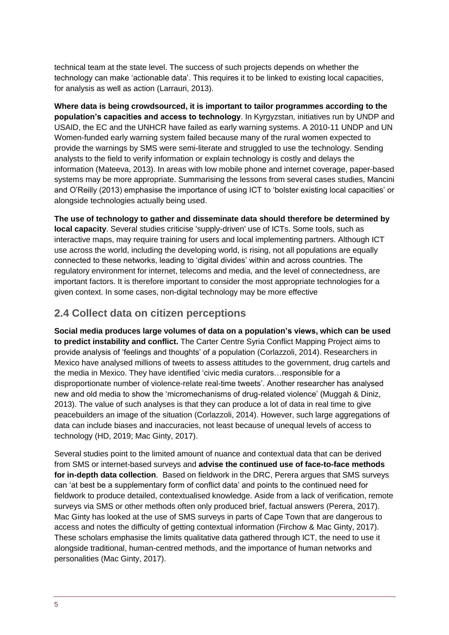technical team at the state level. The success of such projects depends on whether the technology can make 'actionable data'. This requires it to be linked to existing local capacities, for analysis as well as action (Larrauri, 2013).

**Where data is being crowdsourced, it is important to tailor programmes according to the population's capacities and access to technology**. In Kyrgyzstan, initiatives run by UNDP and USAID, the EC and the UNHCR have failed as early warning systems. A 2010-11 UNDP and UN Women-funded early warning system failed because many of the rural women expected to provide the warnings by SMS were semi-literate and struggled to use the technology. Sending analysts to the field to verify information or explain technology is costly and delays the information (Mateeva, 2013). In areas with low mobile phone and internet coverage, paper-based systems may be more appropriate. Summarising the lessons from several cases studies, Mancini and O'Reilly (2013) emphasise the importance of using ICT to 'bolster existing local capacities' or alongside technologies actually being used.

**The use of technology to gather and disseminate data should therefore be determined by local capacity**. Several studies criticise 'supply-driven' use of ICTs. Some tools, such as interactive maps, may require training for users and local implementing partners. Although ICT use across the world, including the developing world, is rising, not all populations are equally connected to these networks, leading to 'digital divides' within and across countries. The regulatory environment for internet, telecoms and media, and the level of connectedness, are important factors. It is therefore important to consider the most appropriate technologies for a given context. In some cases, non-digital technology may be more effective

#### **2.4 Collect data on citizen perceptions**

**Social media produces large volumes of data on a population's views, which can be used to predict instability and conflict.** The Carter Centre Syria Conflict Mapping Project aims to provide analysis of 'feelings and thoughts' of a population (Corlazzoli, 2014). Researchers in Mexico have analysed millions of tweets to assess attitudes to the government, drug cartels and the media in Mexico. They have identified 'civic media curators…responsible for a disproportionate number of violence-relate real-time tweets'. Another researcher has analysed new and old media to show the 'micromechanisms of drug-related violence' (Muggah & Diniz, 2013). The value of such analyses is that they can produce a lot of data in real time to give peacebuilders an image of the situation (Corlazzoli, 2014). However, such large aggregations of data can include biases and inaccuracies, not least because of unequal levels of access to technology (HD, 2019; Mac Ginty, 2017).

Several studies point to the limited amount of nuance and contextual data that can be derived from SMS or internet-based surveys and **advise the continued use of face-to-face methods for in-depth data collection**. Based on fieldwork in the DRC, Perera argues that SMS surveys can 'at best be a supplementary form of conflict data' and points to the continued need for fieldwork to produce detailed, contextualised knowledge. Aside from a lack of verification, remote surveys via SMS or other methods often only produced brief, factual answers (Perera, 2017). Mac Ginty has looked at the use of SMS surveys in parts of Cape Town that are dangerous to access and notes the difficulty of getting contextual information (Firchow & Mac Ginty, 2017). These scholars emphasise the limits qualitative data gathered through ICT, the need to use it alongside traditional, human-centred methods, and the importance of human networks and personalities (Mac Ginty, 2017).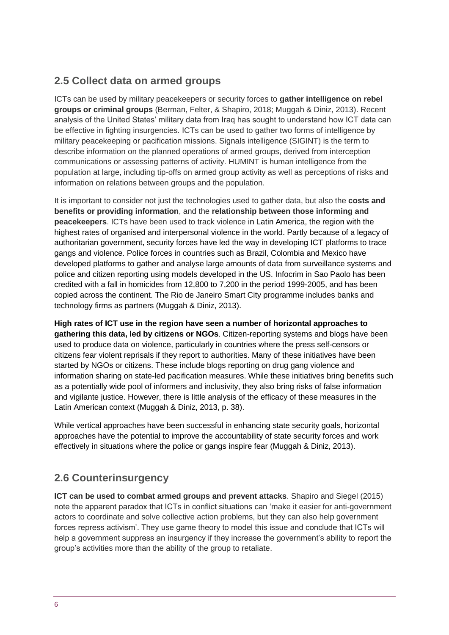## **2.5 Collect data on armed groups**

ICTs can be used by military peacekeepers or security forces to **gather intelligence on rebel groups or criminal groups** (Berman, Felter, & Shapiro, 2018; Muggah & Diniz, 2013). Recent analysis of the United States' military data from Iraq has sought to understand how ICT data can be effective in fighting insurgencies. ICTs can be used to gather two forms of intelligence by military peacekeeping or pacification missions. Signals intelligence (SIGINT) is the term to describe information on the planned operations of armed groups, derived from interception communications or assessing patterns of activity. HUMINT is human intelligence from the population at large, including tip-offs on armed group activity as well as perceptions of risks and information on relations between groups and the population.

It is important to consider not just the technologies used to gather data, but also the **costs and benefits or providing information**, and the **relationship between those informing and peacekeepers**. ICTs have been used to track violence in Latin America, the region with the highest rates of organised and interpersonal violence in the world. Partly because of a legacy of authoritarian government, security forces have led the way in developing ICT platforms to trace gangs and violence. Police forces in countries such as Brazil, Colombia and Mexico have developed platforms to gather and analyse large amounts of data from surveillance systems and police and citizen reporting using models developed in the US. Infocrim in Sao Paolo has been credited with a fall in homicides from 12,800 to 7,200 in the period 1999-2005, and has been copied across the continent. The Rio de Janeiro Smart City programme includes banks and technology firms as partners (Muggah & Diniz, 2013).

**High rates of ICT use in the region have seen a number of horizontal approaches to gathering this data, led by citizens or NGOs**. Citizen-reporting systems and blogs have been used to produce data on violence, particularly in countries where the press self-censors or citizens fear violent reprisals if they report to authorities. Many of these initiatives have been started by NGOs or citizens. These include blogs reporting on drug gang violence and information sharing on state-led pacification measures. While these initiatives bring benefits such as a potentially wide pool of informers and inclusivity, they also bring risks of false information and vigilante justice. However, there is little analysis of the efficacy of these measures in the Latin American context (Muggah & Diniz, 2013, p. 38).

While vertical approaches have been successful in enhancing state security goals, horizontal approaches have the potential to improve the accountability of state security forces and work effectively in situations where the police or gangs inspire fear (Muggah & Diniz, 2013).

## **2.6 Counterinsurgency**

**ICT can be used to combat armed groups and prevent attacks**. Shapiro and Siegel (2015) note the apparent paradox that ICTs in conflict situations can 'make it easier for anti-government actors to coordinate and solve collective action problems, but they can also help government forces repress activism'. They use game theory to model this issue and conclude that ICTs will help a government suppress an insurgency if they increase the government's ability to report the group's activities more than the ability of the group to retaliate.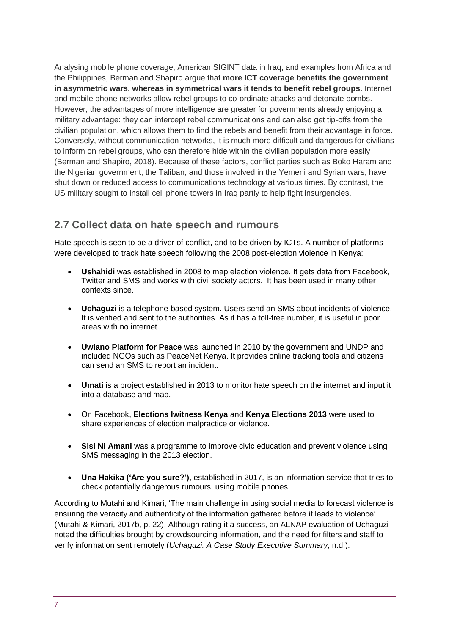Analysing mobile phone coverage, American SIGINT data in Iraq, and examples from Africa and the Philippines, Berman and Shapiro argue that **more ICT coverage benefits the government in asymmetric wars, whereas in symmetrical wars it tends to benefit rebel groups**. Internet and mobile phone networks allow rebel groups to co-ordinate attacks and detonate bombs. However, the advantages of more intelligence are greater for governments already enjoying a military advantage: they can intercept rebel communications and can also get tip-offs from the civilian population, which allows them to find the rebels and benefit from their advantage in force. Conversely, without communication networks, it is much more difficult and dangerous for civilians to inform on rebel groups, who can therefore hide within the civilian population more easily (Berman and Shapiro, 2018). Because of these factors, conflict parties such as Boko Haram and the Nigerian government, the Taliban, and those involved in the Yemeni and Syrian wars, have shut down or reduced access to communications technology at various times. By contrast, the US military sought to install cell phone towers in Iraq partly to help fight insurgencies.

### **2.7 Collect data on hate speech and rumours**

Hate speech is seen to be a driver of conflict, and to be driven by ICTs. A number of platforms were developed to track hate speech following the 2008 post-election violence in Kenya:

- **Ushahidi** was established in 2008 to map election violence. It gets data from Facebook, Twitter and SMS and works with civil society actors. It has been used in many other contexts since.
- **Uchaguzi** is a telephone-based system. Users send an SMS about incidents of violence. It is verified and sent to the authorities. As it has a toll-free number, it is useful in poor areas with no internet.
- **Uwiano Platform for Peace** was launched in 2010 by the government and UNDP and included NGOs such as PeaceNet Kenya. It provides online tracking tools and citizens can send an SMS to report an incident.
- **Umati** is a project established in 2013 to monitor hate speech on the internet and input it into a database and map.
- On Facebook, **Elections Iwitness Kenya** and **Kenya Elections 2013** were used to share experiences of election malpractice or violence.
- **Sisi Ni Amani** was a programme to improve civic education and prevent violence using SMS messaging in the 2013 election.
- **Una Hakika ('Are you sure?')**, established in 2017, is an information service that tries to check potentially dangerous rumours, using mobile phones.

According to Mutahi and Kimari, 'The main challenge in using social media to forecast violence is ensuring the veracity and authenticity of the information gathered before it leads to violence' (Mutahi & Kimari, 2017b, p. 22). Although rating it a success, an ALNAP evaluation of Uchaguzi noted the difficulties brought by crowdsourcing information, and the need for filters and staff to verify information sent remotely (*Uchaguzi: A Case Study Executive Summary*, n.d.).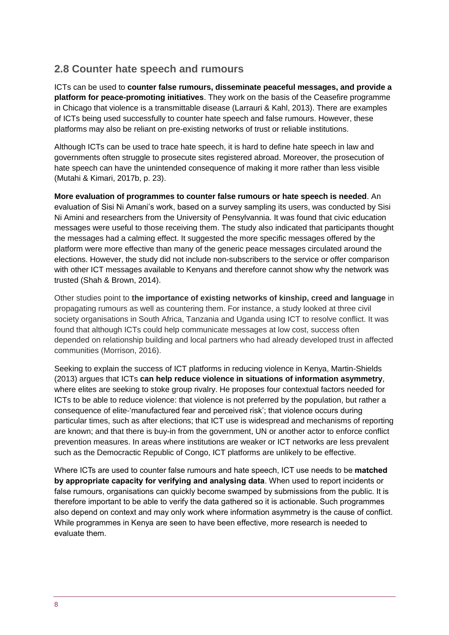### **2.8 Counter hate speech and rumours**

ICTs can be used to **counter false rumours, disseminate peaceful messages, and provide a platform for peace-promoting initiatives**. They work on the basis of the Ceasefire programme in Chicago that violence is a transmittable disease (Larrauri & Kahl, 2013). There are examples of ICTs being used successfully to counter hate speech and false rumours. However, these platforms may also be reliant on pre-existing networks of trust or reliable institutions.

Although ICTs can be used to trace hate speech, it is hard to define hate speech in law and governments often struggle to prosecute sites registered abroad. Moreover, the prosecution of hate speech can have the unintended consequence of making it more rather than less visible (Mutahi & Kimari, 2017b, p. 23).

**More evaluation of programmes to counter false rumours or hate speech is needed**. An evaluation of Sisi Ni Amani's work, based on a survey sampling its users, was conducted by Sisi Ni Amini and researchers from the University of Pensylvannia. It was found that civic education messages were useful to those receiving them. The study also indicated that participants thought the messages had a calming effect. It suggested the more specific messages offered by the platform were more effective than many of the generic peace messages circulated around the elections. However, the study did not include non-subscribers to the service or offer comparison with other ICT messages available to Kenyans and therefore cannot show why the network was trusted (Shah & Brown, 2014).

Other studies point to **the importance of existing networks of kinship, creed and language** in propagating rumours as well as countering them. For instance, a study looked at three civil society organisations in South Africa, Tanzania and Uganda using ICT to resolve conflict. It was found that although ICTs could help communicate messages at low cost, success often depended on relationship building and local partners who had already developed trust in affected communities (Morrison, 2016).

Seeking to explain the success of ICT platforms in reducing violence in Kenya, Martin-Shields (2013) argues that ICTs **can help reduce violence in situations of information asymmetry**, where elites are seeking to stoke group rivalry. He proposes four contextual factors needed for ICTs to be able to reduce violence: that violence is not preferred by the population, but rather a consequence of elite-'manufactured fear and perceived risk'; that violence occurs during particular times, such as after elections; that ICT use is widespread and mechanisms of reporting are known; and that there is buy-in from the government, UN or another actor to enforce conflict prevention measures. In areas where institutions are weaker or ICT networks are less prevalent such as the Democractic Republic of Congo, ICT platforms are unlikely to be effective.

Where ICTs are used to counter false rumours and hate speech, ICT use needs to be **matched by appropriate capacity for verifying and analysing data**. When used to report incidents or false rumours, organisations can quickly become swamped by submissions from the public. It is therefore important to be able to verify the data gathered so it is actionable. Such programmes also depend on context and may only work where information asymmetry is the cause of conflict. While programmes in Kenya are seen to have been effective, more research is needed to evaluate them.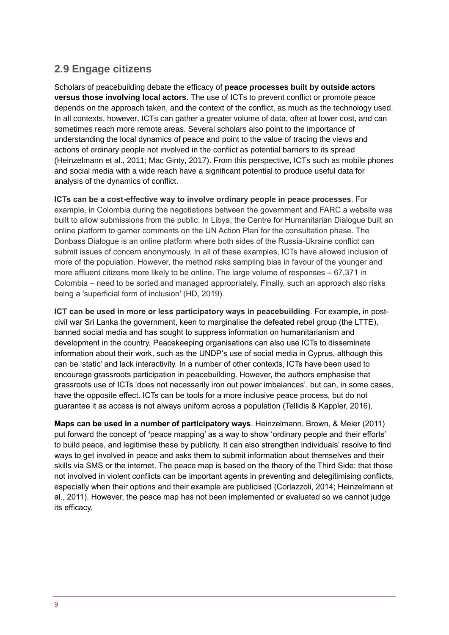## **2.9 Engage citizens**

Scholars of peacebuilding debate the efficacy of **peace processes built by outside actors versus those involving local actors**. The use of ICTs to prevent conflict or promote peace depends on the approach taken, and the context of the conflict, as much as the technology used. In all contexts, however, ICTs can gather a greater volume of data, often at lower cost, and can sometimes reach more remote areas. Several scholars also point to the importance of understanding the local dynamics of peace and point to the value of tracing the views and actions of ordinary people not involved in the conflict as potential barriers to its spread (Heinzelmann et al., 2011; Mac Ginty, 2017). From this perspective, ICTs such as mobile phones and social media with a wide reach have a significant potential to produce useful data for analysis of the dynamics of conflict.

**ICTs can be a cost-effective way to involve ordinary people in peace processes**. For example, in Colombia during the negotiations between the government and FARC a website was built to allow submissions from the public. In Libya, the Centre for Humanitarian Dialogue built an online platform to garner comments on the UN Action Plan for the consultation phase. The Donbass Dialogue is an online platform where both sides of the Russia-Ukraine conflict can submit issues of concern anonymously. In all of these examples, ICTs have allowed inclusion of more of the population. However, the method risks sampling bias in favour of the younger and more affluent citizens more likely to be online. The large volume of responses – 67,371 in Colombia – need to be sorted and managed appropriately. Finally, such an approach also risks being a 'superficial form of inclusion' (HD, 2019).

**ICT can be used in more or less participatory ways in peacebuilding**. For example, in postcivil war Sri Lanka the government, keen to marginalise the defeated rebel group (the LTTE), banned social media and has sought to suppress information on humanitarianism and development in the country. Peacekeeping organisations can also use ICTs to disseminate information about their work, such as the UNDP's use of social media in Cyprus, although this can be 'static' and lack interactivity. In a number of other contexts, ICTs have been used to encourage grassroots participation in peacebuilding. However, the authors emphasise that grassroots use of ICTs 'does not necessarily iron out power imbalances', but can, in some cases, have the opposite effect. ICTs can be tools for a more inclusive peace process, but do not guarantee it as access is not always uniform across a population (Tellidis & Kappler, 2016).

**Maps can be used in a number of participatory ways**. Heinzelmann, Brown, & Meier (2011) put forward the concept of **'**peace mapping' as a way to show 'ordinary people and their efforts' to build peace, and legitimise these by publicity. It can also strengthen individuals' resolve to find ways to get involved in peace and asks them to submit information about themselves and their skills via SMS or the internet. The peace map is based on the theory of the Third Side: that those not involved in violent conflicts can be important agents in preventing and delegitimising conflicts, especially when their options and their example are publicised (Corlazzoli, 2014; Heinzelmann et al., 2011). However, the peace map has not been implemented or evaluated so we cannot judge its efficacy.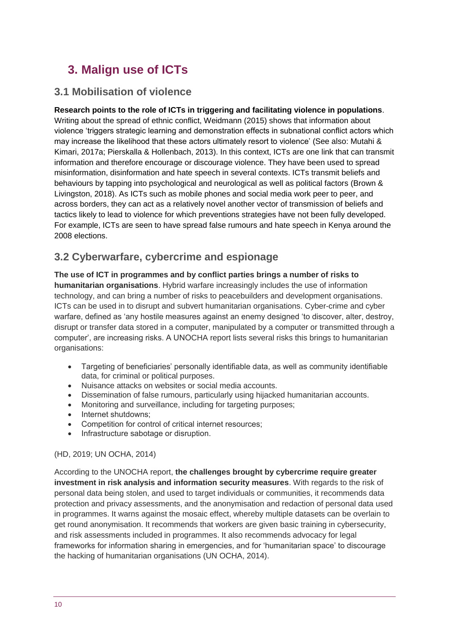# **3. Malign use of ICTs**

#### **3.1 Mobilisation of violence**

#### **Research points to the role of ICTs in triggering and facilitating violence in populations**.

Writing about the spread of ethnic conflict, Weidmann (2015) shows that information about violence 'triggers strategic learning and demonstration effects in subnational conflict actors which may increase the likelihood that these actors ultimately resort to violence' (See also: Mutahi & Kimari, 2017a; Pierskalla & Hollenbach, 2013). In this context, ICTs are one link that can transmit information and therefore encourage or discourage violence. They have been used to spread misinformation, disinformation and hate speech in several contexts. ICTs transmit beliefs and behaviours by tapping into psychological and neurological as well as political factors (Brown & Livingston, 2018). As ICTs such as mobile phones and social media work peer to peer, and across borders, they can act as a relatively novel another vector of transmission of beliefs and tactics likely to lead to violence for which preventions strategies have not been fully developed. For example, ICTs are seen to have spread false rumours and hate speech in Kenya around the 2008 elections.

#### **3.2 Cyberwarfare, cybercrime and espionage**

**The use of ICT in programmes and by conflict parties brings a number of risks to humanitarian organisations**. Hybrid warfare increasingly includes the use of information technology, and can bring a number of risks to peacebuilders and development organisations. ICTs can be used in to disrupt and subvert humanitarian organisations. Cyber-crime and cyber warfare, defined as 'any hostile measures against an enemy designed 'to discover, alter, destroy, disrupt or transfer data stored in a computer, manipulated by a computer or transmitted through a computer', are increasing risks. A UNOCHA report lists several risks this brings to humanitarian organisations:

- Targeting of beneficiaries' personally identifiable data, as well as community identifiable data, for criminal or political purposes.
- Nuisance attacks on websites or social media accounts.
- Dissemination of false rumours, particularly using hijacked humanitarian accounts.
- Monitoring and surveillance, including for targeting purposes;
- Internet shutdowns;
- Competition for control of critical internet resources;
- Infrastructure sabotage or disruption.

#### (HD, 2019; UN OCHA, 2014)

According to the UNOCHA report, **the challenges brought by cybercrime require greater investment in risk analysis and information security measures**. With regards to the risk of personal data being stolen, and used to target individuals or communities, it recommends data protection and privacy assessments, and the anonymisation and redaction of personal data used in programmes. It warns against the mosaic effect, whereby multiple datasets can be overlain to get round anonymisation. It recommends that workers are given basic training in cybersecurity, and risk assessments included in programmes. It also recommends advocacy for legal frameworks for information sharing in emergencies, and for 'humanitarian space' to discourage the hacking of humanitarian organisations (UN OCHA, 2014).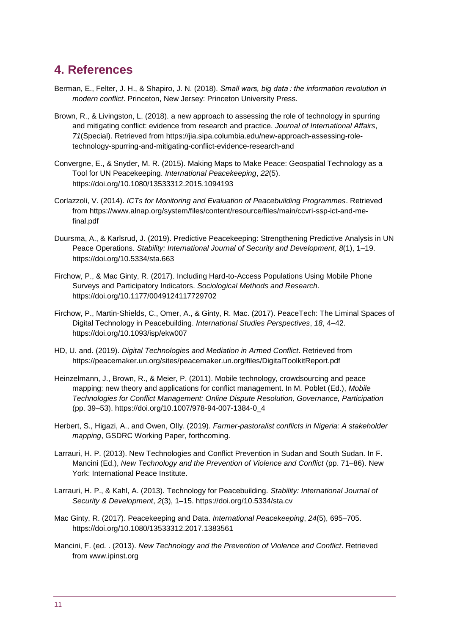# <span id="page-10-0"></span>**4. References**

- Berman, E., Felter, J. H., & Shapiro, J. N. (2018). *Small wars, big data : the information revolution in modern conflict*. Princeton, New Jersey: Princeton University Press.
- Brown, R., & Livingston, L. (2018). a new approach to assessing the role of technology in spurring and mitigating conflict: evidence from research and practice. *Journal of International Affairs*, *71*(Special). Retrieved from https://jia.sipa.columbia.edu/new-approach-assessing-roletechnology-spurring-and-mitigating-conflict-evidence-research-and
- Convergne, E., & Snyder, M. R. (2015). Making Maps to Make Peace: Geospatial Technology as a Tool for UN Peacekeeping. *International Peacekeeping*, *22*(5). https://doi.org/10.1080/13533312.2015.1094193
- Corlazzoli, V. (2014). *ICTs for Monitoring and Evaluation of Peacebuilding Programmes*. Retrieved from https://www.alnap.org/system/files/content/resource/files/main/ccvri-ssp-ict-and-mefinal.pdf
- Duursma, A., & Karlsrud, J. (2019). Predictive Peacekeeping: Strengthening Predictive Analysis in UN Peace Operations. *Stability: International Journal of Security and Development*, *8*(1), 1–19. https://doi.org/10.5334/sta.663
- Firchow, P., & Mac Ginty, R. (2017). Including Hard-to-Access Populations Using Mobile Phone Surveys and Participatory Indicators. *Sociological Methods and Research*. https://doi.org/10.1177/0049124117729702
- Firchow, P., Martin-Shields, C., Omer, A., & Ginty, R. Mac. (2017). PeaceTech: The Liminal Spaces of Digital Technology in Peacebuilding. *International Studies Perspectives*, *18*, 4–42. https://doi.org/10.1093/isp/ekw007
- HD, U. and. (2019). *Digital Technologies and Mediation in Armed Conflict*. Retrieved from https://peacemaker.un.org/sites/peacemaker.un.org/files/DigitalToolkitReport.pdf
- Heinzelmann, J., Brown, R., & Meier, P. (2011). Mobile technology, crowdsourcing and peace mapping: new theory and applications for conflict management. In M. Poblet (Ed.), *Mobile Technologies for Conflict Management: Online Dispute Resolution, Governance, Participation* (pp. 39–53). https://doi.org/10.1007/978-94-007-1384-0\_4
- Herbert, S., Higazi, A., and Owen, Olly. (2019). *Farmer-pastoralist conflicts in Nigeria: A stakeholder mapping*, GSDRC Working Paper, forthcoming.
- Larrauri, H. P. (2013). New Technologies and Conflict Prevention in Sudan and South Sudan. In F. Mancini (Ed.), *New Technology and the Prevention of Violence and Conflict* (pp. 71–86). New York: International Peace Institute.
- Larrauri, H. P., & Kahl, A. (2013). Technology for Peacebuilding. *Stability: International Journal of Security & Development*, *2*(3), 1–15. https://doi.org/10.5334/sta.cv
- Mac Ginty, R. (2017). Peacekeeping and Data. *International Peacekeeping*, *24*(5), 695–705. https://doi.org/10.1080/13533312.2017.1383561
- Mancini, F. (ed. . (2013). *New Technology and the Prevention of Violence and Conflict*. Retrieved from www.ipinst.org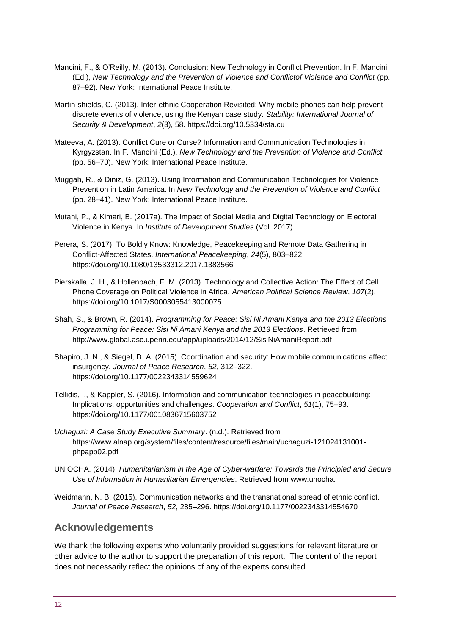- Mancini, F., & O'Reilly, M. (2013). Conclusion: New Technology in Conflict Prevention. In F. Mancini (Ed.), *New Technology and the Prevention of Violence and Conflictof Violence and Conflict* (pp. 87–92). New York: International Peace Institute.
- Martin-shields, C. (2013). Inter-ethnic Cooperation Revisited: Why mobile phones can help prevent discrete events of violence, using the Kenyan case study. *Stability: International Journal of Security & Development*, *2*(3), 58. https://doi.org/10.5334/sta.cu
- Mateeva, A. (2013). Conflict Cure or Curse? Information and Communication Technologies in Kyrgyzstan. In F. Mancini (Ed.), *New Technology and the Prevention of Violence and Conflict* (pp. 56–70). New York: International Peace Institute.
- Muggah, R., & Diniz, G. (2013). Using Information and Communication Technologies for Violence Prevention in Latin America. In *New Technology and the Prevention of Violence and Conflict* (pp. 28–41). New York: International Peace Institute.
- Mutahi, P., & Kimari, B. (2017a). The Impact of Social Media and Digital Technology on Electoral Violence in Kenya. In *Institute of Development Studies* (Vol. 2017).
- Perera, S. (2017). To Boldly Know: Knowledge, Peacekeeping and Remote Data Gathering in Conflict-Affected States. *International Peacekeeping*, *24*(5), 803–822. https://doi.org/10.1080/13533312.2017.1383566
- Pierskalla, J. H., & Hollenbach, F. M. (2013). Technology and Collective Action: The Effect of Cell Phone Coverage on Political Violence in Africa. *American Political Science Review*, *107*(2). https://doi.org/10.1017/S0003055413000075
- Shah, S., & Brown, R. (2014). *Programming for Peace: Sisi Ni Amani Kenya and the 2013 Elections Programming for Peace: Sisi Ni Amani Kenya and the 2013 Elections*. Retrieved from http://www.global.asc.upenn.edu/app/uploads/2014/12/SisiNiAmaniReport.pdf
- Shapiro, J. N., & Siegel, D. A. (2015). Coordination and security: How mobile communications affect insurgency. *Journal of Peace Research*, *52*, 312–322. https://doi.org/10.1177/0022343314559624
- Tellidis, I., & Kappler, S. (2016). Information and communication technologies in peacebuilding: Implications, opportunities and challenges. *Cooperation and Conflict*, *51*(1), 75–93. https://doi.org/10.1177/0010836715603752
- *Uchaguzi: A Case Study Executive Summary*. (n.d.). Retrieved from https://www.alnap.org/system/files/content/resource/files/main/uchaguzi-121024131001 phpapp02.pdf
- UN OCHA. (2014). *Humanitarianism in the Age of Cyber-warfare: Towards the Principled and Secure Use of Information in Humanitarian Emergencies*. Retrieved from www.unocha.
- Weidmann, N. B. (2015). Communication networks and the transnational spread of ethnic conflict. *Journal of Peace Research*, *52*, 285–296. https://doi.org/10.1177/0022343314554670

#### **Acknowledgements**

We thank the following experts who voluntarily provided suggestions for relevant literature or other advice to the author to support the preparation of this report. The content of the report does not necessarily reflect the opinions of any of the experts consulted.